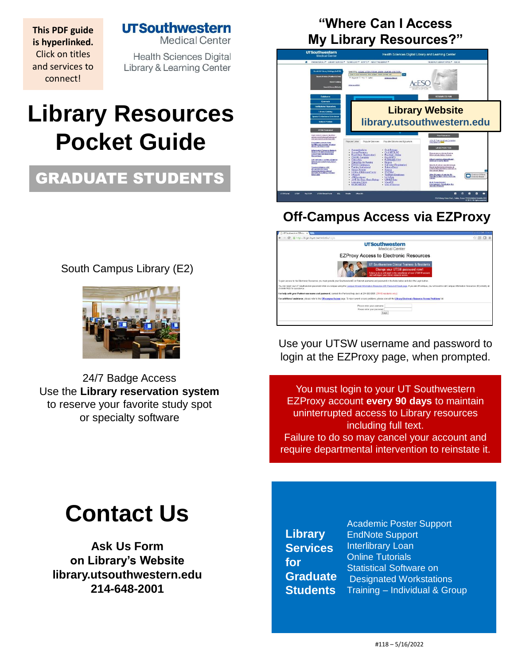**UTSouthwester** 

**This PDF guide is hyperlinked.**  Click on titles and services to connect!

**Medical Center** 

**Health Sciences Digital** Library & Learning Center

# **Library Resources Pocket Guide**

## GRADUATE STUDENTS

South Campus Library (E2)



24/7 Badge Access Use the **[Library reservation system](https://library.utsouthwestern.edu/main/libreserve.aspx)**  to reserve your favorite study spot [or specialty so](http://library.utsouthwestern.edu/links/linkUsage.cfm?linkID=8439)[ftware](http://library.utsouthwestern.edu/links/linkUsage.cfm?linkID=7124)

### **"Where Can I Access My Library Resources?"**



### **Off-Campus Access via EZProxy**

| UT Southwestern EZPress X                                                                                                                                                                                                                                     | $2 - 10^{11}$ X |
|---------------------------------------------------------------------------------------------------------------------------------------------------------------------------------------------------------------------------------------------------------------|-----------------|
| C A https://login.foyer.swmed.edu/login                                                                                                                                                                                                                       | ☆图口目            |
| <b>UTSouthwestern</b><br>Medical Center                                                                                                                                                                                                                       |                 |
| <b>EZProxy Access to Electronic Resources</b>                                                                                                                                                                                                                 |                 |
| <b>UT Southwestern Clinical Trainees &amp; Residents</b><br><b>Change your UTSW password now!</b><br>Failure to do so will result in the cascollation of your UTSW IR account<br>and will impact your Library resource access.                                |                 |
| To gain access to the Electronic Resources you must provide your SouthwestemID or Parknet username and password in the fields below and click the Login button.                                                                                               |                 |
| You can reset your UT Southwestern password while on-campus using the Campus Intranet Information Resources (IR) Password Resolt pape, If you are off-campus, you will need to call Campus Information Resources (IR) directly<br>714,649,7900 for accidiance |                 |
| For help with your Parknet username and password, contact the Parkland help desk at 214-590-5999. (PHHS residents only.)                                                                                                                                      |                 |
| For additional assistance, please refer to the Off.campus Access page. To view current access problems, please consult the Library Electronic Resource Access Problems list.                                                                                  |                 |
| Please enter your usemame:<br>Flease enter your password.<br>Login                                                                                                                                                                                            |                 |
|                                                                                                                                                                                                                                                               |                 |
|                                                                                                                                                                                                                                                               |                 |

Use your UTSW username and password to login at the EZProxy page, when prompted.

You must login to your UT Southwestern EZProxy account **every 90 days** to maintain uninterrupted access to Library resources including full text. Failure to do so may cancel your account and require departmental intervention to reinstate it.

# **Contact Us**

**Ask Us Form on Library's Website library.utsouthwestern.edu 214-648-2001**

**Library Services for Graduate Students**

[Academic Poster Support](http://library.utsouthwestern.edu/main/portals/jpull2.aspx?8444) [EndNote Support](http://library.utsouthwestern.edu/main/portals/jpull2.aspx?3246) I[nterlibrary Loan](http://library.utsouthwestern.edu/main/portals/jpull2.aspx?1876) [Online Tutorials](http://library.utsouthwestern.edu/main/portals/jpull2.aspx?3896) [Statistical Software on](http://library.utsouthwestern.edu/main/portals/jpull2.aspx?6390)  Designated Workstations Training – [Individual & Group](http://library.utsouthwestern.edu/main/portals/jpull2.aspx?2755)